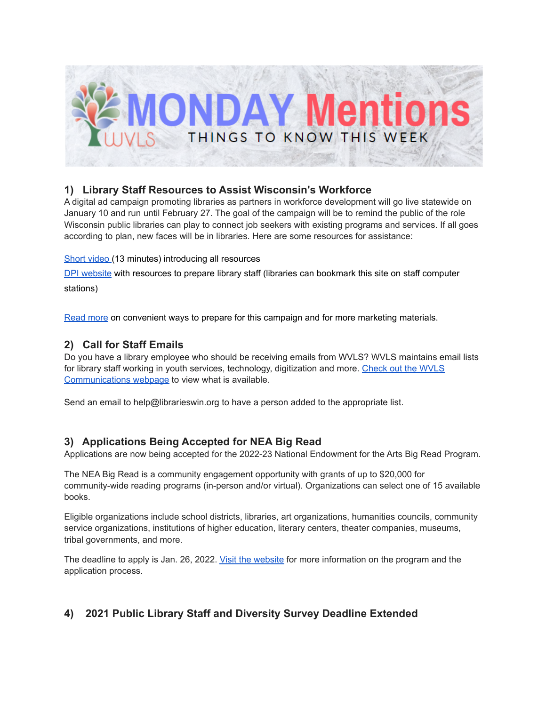

# **1) Library Staff Resources to Assist Wisconsin's Workforce**

A digital ad campaign promoting libraries as partners in workforce development will go live statewide on January 10 and run until February 27. The goal of the campaign will be to remind the public of the role Wisconsin public libraries can play to connect job seekers with existing programs and services. If all goes according to plan, new faces will be in libraries. Here are some resources for assistance:

#### Short [video](https://vimeo.com/655433272) (13 minutes) introducing all resources

DPI [website](https://dpi.wi.gov/pld/workforce-assistance) with resources to prepare library staff (libraries can bookmark this site on staff computer stations)

[Read](https://docs.google.com/document/d/1Pr6chDRrPDbibxs8tGxuVidJ18GcuZN2DsXmgbKnAIE/edit?usp=sharing) more on convenient ways to prepare for this campaign and for more marketing materials.

# **2) Call for Staff Emails**

Do you have a library employee who should be receiving emails from WVLS? WVLS maintains email lists for library staff working in youth services, technology, digitization and more. [Check](https://wvls.org/wvls-communications/) out the WVLS [Communications](https://wvls.org/wvls-communications/) webpage to view what is available.

Send an email to help@librarieswin.org to have a person added to the appropriate list.

### **3) Applications Being Accepted for NEA Big Read**

Applications are now being accepted for the 2022-23 National Endowment for the Arts Big Read Program.

The NEA Big Read is a community engagement opportunity with grants of up to \$20,000 for community-wide reading programs (in-person and/or virtual). Organizations can select one of 15 available books.

Eligible organizations include school districts, libraries, art organizations, humanities councils, community service organizations, institutions of higher education, literary centers, theater companies, museums, tribal governments, and more.

The deadline to apply is Jan. 26, 2022. Visit the [website](https://www.artsmidwest.org/programs/neabigread/application-process) for more information on the program and the application process.

# **4) 2021 Public Library Staff and Diversity Survey Deadline Extended**